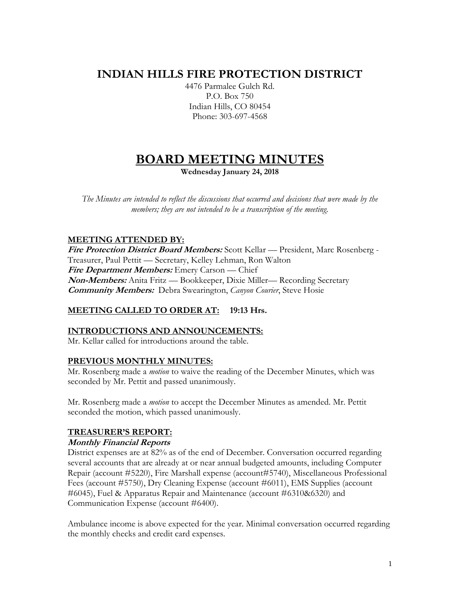## **INDIAN HILLS FIRE PROTECTION DISTRICT**

4476 Parmalee Gulch Rd. P.O. Box 750 Indian Hills, CO 80454 Phone: 303-697-4568

# **BOARD MEETING MINUTES**

**Wednesday January 24, 2018**

*The Minutes are intended to reflect the discussions that occurred and decisions that were made by the members; they are not intended to be a transcription of the meeting.*

## **MEETING ATTENDED BY:**

**Fire Protection District Board Members:** Scott Kellar — President, Marc Rosenberg - Treasurer, Paul Pettit — Secretary, Kelley Lehman, Ron Walton **Fire Department Members:** Emery Carson — Chief **Non-Members:** Anita Fritz — Bookkeeper, Dixie Miller— Recording Secretary **Community Members:** Debra Swearington, *Canyon Courier*, Steve Hosie

## **MEETING CALLED TO ORDER AT: 19:13 Hrs.**

## **INTRODUCTIONS AND ANNOUNCEMENTS:**

Mr. Kellar called for introductions around the table.

## **PREVIOUS MONTHLY MINUTES:**

Mr. Rosenberg made a *motion* to waive the reading of the December Minutes, which was seconded by Mr. Pettit and passed unanimously.

Mr. Rosenberg made a *motion* to accept the December Minutes as amended. Mr. Pettit seconded the motion, which passed unanimously.

#### **TREASURER'S REPORT:**

#### **Monthly Financial Reports**

District expenses are at 82% as of the end of December. Conversation occurred regarding several accounts that are already at or near annual budgeted amounts, including Computer Repair (account #5220), Fire Marshall expense (account#5740), Miscellaneous Professional Fees (account #5750), Dry Cleaning Expense (account #6011), EMS Supplies (account #6045), Fuel & Apparatus Repair and Maintenance (account #6310&6320) and Communication Expense (account #6400).

Ambulance income is above expected for the year. Minimal conversation occurred regarding the monthly checks and credit card expenses.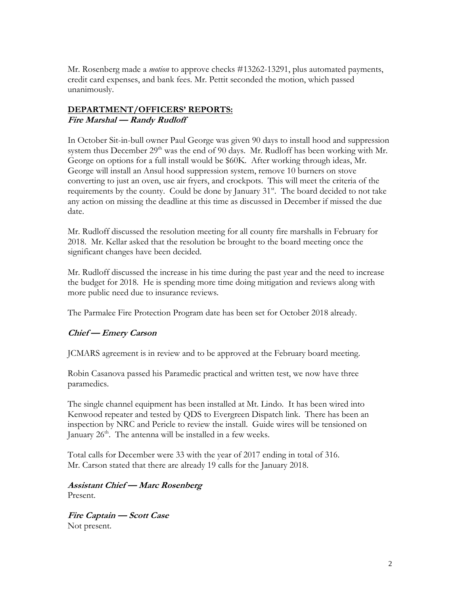Mr. Rosenberg made a *motion* to approve checks #13262-13291, plus automated payments, credit card expenses, and bank fees. Mr. Pettit seconded the motion, which passed unanimously.

## **DEPARTMENT/OFFICERS' REPORTS: Fire Marshal — Randy Rudloff**

In October Sit-in-bull owner Paul George was given 90 days to install hood and suppression system thus December  $29<sup>th</sup>$  was the end of 90 days. Mr. Rudloff has been working with Mr. George on options for a full install would be \$60K. After working through ideas, Mr. George will install an Ansul hood suppression system, remove 10 burners on stove converting to just an oven, use air fryers, and crockpots. This will meet the criteria of the requirements by the county. Could be done by January 31<sup>st</sup>. The board decided to not take any action on missing the deadline at this time as discussed in December if missed the due date.

Mr. Rudloff discussed the resolution meeting for all county fire marshalls in February for 2018. Mr. Kellar asked that the resolution be brought to the board meeting once the significant changes have been decided.

Mr. Rudloff discussed the increase in his time during the past year and the need to increase the budget for 2018. He is spending more time doing mitigation and reviews along with more public need due to insurance reviews.

The Parmalee Fire Protection Program date has been set for October 2018 already.

## **Chief — Emery Carson**

JCMARS agreement is in review and to be approved at the February board meeting.

Robin Casanova passed his Paramedic practical and written test, we now have three paramedics.

The single channel equipment has been installed at Mt. Lindo. It has been wired into Kenwood repeater and tested by QDS to Evergreen Dispatch link. There has been an inspection by NRC and Pericle to review the install. Guide wires will be tensioned on January 26<sup>th</sup>. The antenna will be installed in a few weeks.

Total calls for December were 33 with the year of 2017 ending in total of 316. Mr. Carson stated that there are already 19 calls for the January 2018.

**Assistant Chief — Marc Rosenberg** Present.

**Fire Captain — Scott Case** Not present.